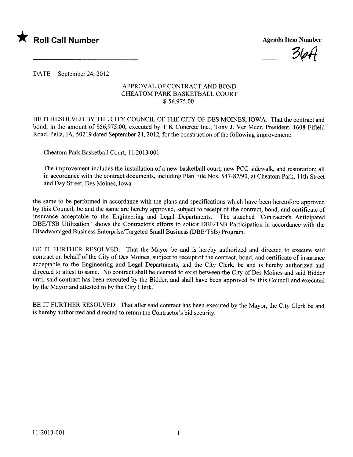

<u>364</u>

DATE September 24,2012

## APPROVAL OF CONTRACT AND BOND CHEATOM PARK BASKETBALL COURT \$ 56,975.00

BE IT RESOLVED BY THE CITY COUNCIL OF THE CITY OF DES MOINES, IOWA: That the contract and bond, in the amount of \$56,975.00, executed by T K Concrete Inc., Tony J. Ver Meer, President, 1608 Fifield Road, Pella, lA, 50219 dated September 24, 2012, for the construction of the following improvement:

Cheatom Park Basketball Court, 11-2013-001

The improvement includes the installation of a new basketball court, new PCC sidewalk, and restoration; all in accordance with the contract documents, including Plan File Nos. 547-87/90, at Cheatom Park, lIth Street and Day Street, Des Moines, Iowa

the same to be performed in accordance with the plans and specifications which have been heretofore approved by this Council, be and the same are hereby approved, subject to receipt of the contract, bond, and certificate of insurance acceptable to the Engineering and Legal Departments. The attached "Contractor's Anticipated DBE/TSB Utilization" shows the Contractor's efforts to solicit DBE/TSB Participation in accordance with the Disadvantaged Business Enterprise/Targeted Small Business (DBE/TSB) Program.

BE IT FURTHER RESOLVED: That the Mayor be and is hereby authorized and directed to execute said contract on behalf of the City of Des Moines, subject to receipt of the contract, bond, and certificate of insurance acceptable to the Engineering and Legal Departments, and the City Clerk, be and is hereby authorized and directed to attest to same. No contract shall be deemed to exist between the City of Des Moines and said Bidder until said contract has been executed by the Bidder, and shall have been approved by this Council and executed by the Mayor and attested to by the City Clerk.

BE IT FURTHER RESOLVED: That after said contract has been executed by the Mayor, the City Clerk be and is hereby authorized and directed to return the Contractor's bid security.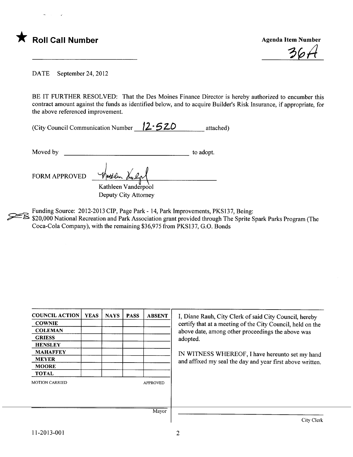

 $36.$ 

DATE September 24, 2012

BE IT FURTHER RESOLVED: That the Des Moines Finance Director is hereby authorized to encumber this contract amount against the funds as identified below, and to acquire Builder's Risk Insurance, if appropriate, for the above referenced improvement.

| (City Council Communication Number $12 - 520$ |  | attached) |
|-----------------------------------------------|--|-----------|
|-----------------------------------------------|--|-----------|

Moved by to adopt.

FORM APPROVED Wettlen Multipl Kathleen Vanderpool Deputy City Attorney

Funding Source: 2012-2013 CIP, Page Park - 14, Park Improvements, PKS137, Being:

 $\approx$  \$20,000 National Recreation and Park Association grant provided through The Sprite Spark Parks Program (The Coca-Cola Company), with the remaining \$36,975 from PKS137, G.O. Bonds

| <b>COUNCIL ACTION</b> | <b>YEAS</b> | <b>NAYS</b> | <b>PASS</b> | <b>ABSENT</b>   | I, Diane Rauh, City Clerk of said City Council, hereby     |  |  |  |
|-----------------------|-------------|-------------|-------------|-----------------|------------------------------------------------------------|--|--|--|
| <b>COWNIE</b>         |             |             |             |                 | certify that at a meeting of the City Council, held on the |  |  |  |
| <b>COLEMAN</b>        |             |             |             |                 | above date, among other proceedings the above was          |  |  |  |
| <b>GRIESS</b>         |             |             |             |                 | adopted.                                                   |  |  |  |
| <b>HENSLEY</b>        |             |             |             |                 |                                                            |  |  |  |
| <b>MAHAFFEY</b>       |             |             |             |                 | IN WITNESS WHEREOF, I have hereunto set my hand            |  |  |  |
| <b>MEYER</b>          |             |             |             |                 | and affixed my seal the day and year first above written.  |  |  |  |
| <b>MOORE</b>          |             |             |             |                 |                                                            |  |  |  |
| <b>TOTAL</b>          |             |             |             |                 |                                                            |  |  |  |
| <b>MOTION CARRIED</b> |             |             |             | <b>APPROVED</b> |                                                            |  |  |  |
|                       |             |             |             |                 |                                                            |  |  |  |
|                       |             |             |             |                 |                                                            |  |  |  |
|                       |             |             |             | Mayor           |                                                            |  |  |  |
|                       |             |             |             |                 | City Clerk                                                 |  |  |  |